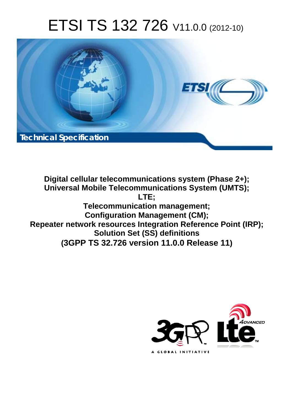# ETSI TS 132 726 V11.0.0 (2012-10)



**Digital cellular telecommunications system (Phase 2+); Universal Mobile Telecommunications System (UMTS); LTE; Telecommunication management; Configuration Management (CM); Repeater network resources Integration Reference Point (IRP); Solution Set (SS) definitions (3GPP TS 32.726 version 11.0.0 Release 11)**

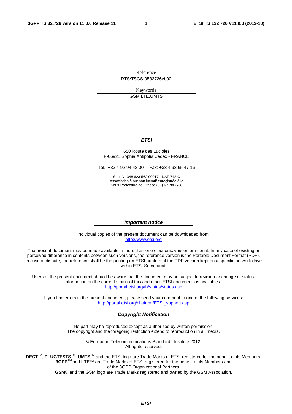Reference RTS/TSGS-0532726vb00

> Keywords GSM,LTE,UMTS

#### *ETSI*

#### 650 Route des Lucioles F-06921 Sophia Antipolis Cedex - FRANCE

Tel.: +33 4 92 94 42 00 Fax: +33 4 93 65 47 16

Siret N° 348 623 562 00017 - NAF 742 C Association à but non lucratif enregistrée à la Sous-Préfecture de Grasse (06) N° 7803/88

#### *Important notice*

Individual copies of the present document can be downloaded from: [http://www.etsi.org](http://www.etsi.org/)

The present document may be made available in more than one electronic version or in print. In any case of existing or perceived difference in contents between such versions, the reference version is the Portable Document Format (PDF). In case of dispute, the reference shall be the printing on ETSI printers of the PDF version kept on a specific network drive within ETSI Secretariat.

Users of the present document should be aware that the document may be subject to revision or change of status. Information on the current status of this and other ETSI documents is available at <http://portal.etsi.org/tb/status/status.asp>

If you find errors in the present document, please send your comment to one of the following services: [http://portal.etsi.org/chaircor/ETSI\\_support.asp](http://portal.etsi.org/chaircor/ETSI_support.asp)

#### *Copyright Notification*

No part may be reproduced except as authorized by written permission. The copyright and the foregoing restriction extend to reproduction in all media.

> © European Telecommunications Standards Institute 2012. All rights reserved.

DECT<sup>™</sup>, PLUGTESTS<sup>™</sup>, UMTS<sup>™</sup> and the ETSI logo are Trade Marks of ETSI registered for the benefit of its Members. **3GPP**TM and **LTE**™ are Trade Marks of ETSI registered for the benefit of its Members and of the 3GPP Organizational Partners.

**GSM**® and the GSM logo are Trade Marks registered and owned by the GSM Association.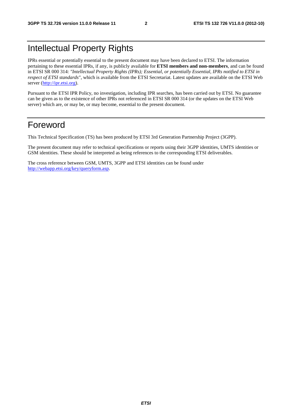# Intellectual Property Rights

IPRs essential or potentially essential to the present document may have been declared to ETSI. The information pertaining to these essential IPRs, if any, is publicly available for **ETSI members and non-members**, and can be found in ETSI SR 000 314: *"Intellectual Property Rights (IPRs); Essential, or potentially Essential, IPRs notified to ETSI in respect of ETSI standards"*, which is available from the ETSI Secretariat. Latest updates are available on the ETSI Web server ([http://ipr.etsi.org\)](http://webapp.etsi.org/IPR/home.asp).

Pursuant to the ETSI IPR Policy, no investigation, including IPR searches, has been carried out by ETSI. No guarantee can be given as to the existence of other IPRs not referenced in ETSI SR 000 314 (or the updates on the ETSI Web server) which are, or may be, or may become, essential to the present document.

### Foreword

This Technical Specification (TS) has been produced by ETSI 3rd Generation Partnership Project (3GPP).

The present document may refer to technical specifications or reports using their 3GPP identities, UMTS identities or GSM identities. These should be interpreted as being references to the corresponding ETSI deliverables.

The cross reference between GSM, UMTS, 3GPP and ETSI identities can be found under [http://webapp.etsi.org/key/queryform.asp.](http://webapp.etsi.org/key/queryform.asp)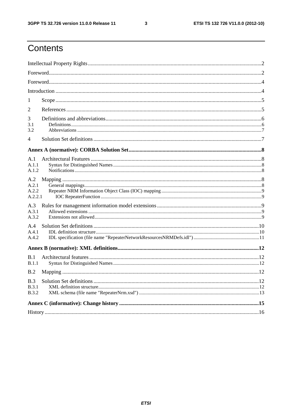$\mathbf{3}$ 

# Contents

| 1                                   |  |  |  |  |  |
|-------------------------------------|--|--|--|--|--|
| 2                                   |  |  |  |  |  |
| 3<br>3.1<br>3.2                     |  |  |  |  |  |
| 4                                   |  |  |  |  |  |
|                                     |  |  |  |  |  |
| A.1<br>A.1.1<br>A.1.2               |  |  |  |  |  |
| A.2<br>A.2.1<br>A.2.2<br>A.2.2.1    |  |  |  |  |  |
| A.3<br>A.3.1<br>A.3.2               |  |  |  |  |  |
| A.4<br>A.4.1<br>A.4.2               |  |  |  |  |  |
|                                     |  |  |  |  |  |
| B.1<br>B.1.1                        |  |  |  |  |  |
| B.2                                 |  |  |  |  |  |
| B.3<br><b>B.3.1</b><br><b>B.3.2</b> |  |  |  |  |  |
|                                     |  |  |  |  |  |
|                                     |  |  |  |  |  |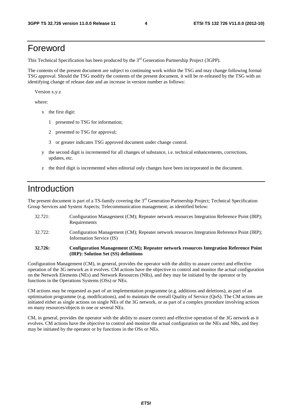#### Foreword

This Technical Specification has been produced by the 3<sup>rd</sup> Generation Partnership Project (3GPP).

The contents of the present document are subject to continuing work within the TSG and may change following formal TSG approval. Should the TSG modify the contents of the present document, it will be re-released by the TSG with an identifying change of release date and an increase in version number as follows:

Version x.y.z

where:

- x the first digit:
	- 1 presented to TSG for information;
	- 2 presented to TSG for approval;
	- 3 or greater indicates TSG approved document under change control.
- y the second digit is incremented for all changes of substance, i.e. technical enhancements, corrections, updates, etc.
- z the third digit is incremented when editorial only changes have been incorporated in the document.

### Introduction

The present document is part of a TS-family covering the 3<sup>rd</sup> Generation Partnership Project; Technical Specification Group Services and System Aspects; Telecommunication management; as identified below:

- 32.721: Configuration Management (CM); Repeater network resources Integration Reference Point (IRP); Requirements
- 32.722: Configuration Management (CM); Repeater network resources Integration Reference Point (IRP); Information Service (IS)

#### **32.726: Configuration Management (CM); Repeater network resources Integration Reference Point (IRP): Solution Set (SS) definitions**

Configuration Management (CM), in general, provides the operator with the ability to assure correct and effective operation of the 3G network as it evolves. CM actions have the objective to control and monitor the actual configuration on the Network Elements (NEs) and Network Resources (NRs), and they may be initiated by the operator or by functions in the Operations Systems (OSs) or NEs.

CM actions may be requested as part of an implementation programme (e.g. additions and deletions), as part of an optimisation programme (e.g. modifications), and to maintain the overall Quality of Service (QoS). The CM actions are initiated either as single actions on single NEs of the 3G network, or as part of a complex procedure involving actions on many resources/objects in one or several NEs.

CM, in general, provides the operator with the ability to assure correct and effective operation of the 3G network as it evolves. CM actions have the objective to control and monitor the actual configuration on the NEs and NRs, and they may be initiated by the operator or by functions in the OSs or NEs.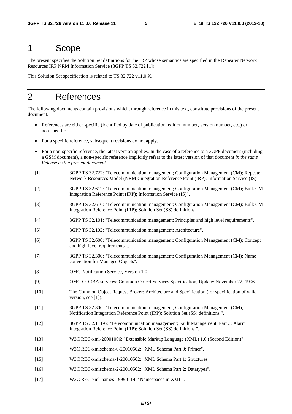#### 1 Scope

The present specifies the Solution Set definitions for the IRP whose semantics are specified in the Repeater Network Resources IRP NRM Information Service (3GPP TS 32.722 [1]).

This Solution Set specification is related to TS 32.722 v11.0.X.

## 2 References

The following documents contain provisions which, through reference in this text, constitute provisions of the present document.

- References are either specific (identified by date of publication, edition number, version number, etc.) or non-specific.
- For a specific reference, subsequent revisions do not apply.
- For a non-specific reference, the latest version applies. In the case of a reference to a 3GPP document (including a GSM document), a non-specific reference implicitly refers to the latest version of that document *in the same Release as the present document*.
- [1] 3GPP TS 32.722: "Telecommunication management; Configuration Management (CM); Repeater Network Resources Model (NRM):Integration Reference Point (IRP): Information Service (IS)".
- [2] 3GPP TS 32.612: "Telecommunication management; Configuration Management (CM); Bulk CM Integration Reference Point (IRP); Information Service (IS)".
- [3] 3GPP TS 32.616: "Telecommunication management; Configuration Management (CM); Bulk CM Integration Reference Point (IRP); Solution Set (SS) definitions
- [4] 3GPP TS 32.101: "Telecommunication management; Principles and high level requirements".
- [5] 3GPP TS 32.102: "Telecommunication management; Architecture".
- [6] 3GPP TS 32.600: "Telecommunication management; Configuration Management (CM); Concept and high-level requirements"..
- [7] 3GPP TS 32.300: "Telecommunication management; Configuration Management (CM); Name convention for Managed Objects".
- [8] OMG Notification Service, Version 1.0.
- [9] OMG CORBA services: Common Object Services Specification, Update: November 22, 1996.
- [10] The Common Object Request Broker: Architecture and Specification (for specification of valid version, see [1]).
- [11] 3GPP TS 32.306: "Telecommunication management; Configuration Management (CM); Notification Integration Reference Point (IRP): Solution Set (SS) definitions ".
- [12] 3GPP TS 32.111-6: "Telecommunication management; Fault Management; Part 3: Alarm Integration Reference Point (IRP): Solution Set (SS) definitions ".
- [13] W3C REC-xml-20001006: "Extensible Markup Language (XML) 1.0 (Second Edition)".
- [14] W3C REC-xmlschema-0-20010502: "XML Schema Part 0: Primer".
- [15] W3C REC-xmlschema-1-20010502: "XML Schema Part 1: Structures".
- [16] W3C REC-xmlschema-2-20010502: "XML Schema Part 2: Datatypes".
- [17] W3C REC-xml-names-19990114: "Namespaces in XML".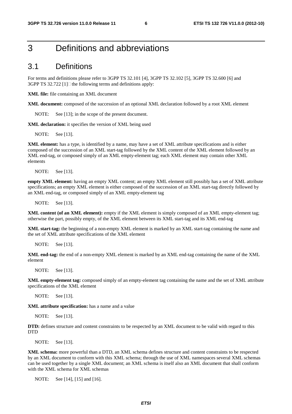#### 3 Definitions and abbreviations

#### 3.1 Definitions

For terms and definitions please refer to 3GPP TS 32.101 [4], 3GPP TS 32.102 [5], 3GPP TS 32.600 [6] and 3GPP TS 32.722 [1] the following terms and definitions apply:

**XML file:** file containing an XML document

**XML document:** composed of the succession of an optional XML declaration followed by a root XML element

NOTE: See [13]; in the scope of the present document.

**XML declaration:** it specifies the version of XML being used

NOTE: See [13].

**XML element:** has a type, is identified by a name, may have a set of XML attribute specifications and is either composed of the succession of an XML start-tag followed by the XML content of the XML element followed by an XML end-tag, or composed simply of an XML empty-element tag; each XML element may contain other XML elements

NOTE: See [13].

**empty XML element:** having an empty XML content; an empty XML element still possibly has a set of XML attribute specifications; an empty XML element is either composed of the succession of an XML start-tag directly followed by an XML end-tag, or composed simply of an XML empty-element tag

NOTE: See [13].

**XML content (of an XML element):** empty if the XML element is simply composed of an XML empty-element tag; otherwise the part, possibly empty, of the XML element between its XML start-tag and its XML end-tag

**XML start-tag:** the beginning of a non-empty XML element is marked by an XML start-tag containing the name and the set of XML attribute specifications of the XML element

NOTE: See [13].

**XML end-tag:** the end of a non-empty XML element is marked by an XML end-tag containing the name of the XML element

NOTE: See [13].

**XML empty-element tag:** composed simply of an empty-element tag containing the name and the set of XML attribute specifications of the XML element

NOTE: See [13].

**XML attribute specification:** has a name and a value

NOTE: See [13].

**DTD:** defines structure and content constraints to be respected by an XML document to be valid with regard to this **DTD** 

NOTE: See [13].

**XML schema:** more powerful than a DTD, an XML schema defines structure and content constraints to be respected by an XML document to conform with this XML schema; through the use of XML namespaces several XML schemas can be used together by a single XML document; an XML schema is itself also an XML document that shall conform with the XML schema for XML schemas

NOTE: See [14], [15] and [16].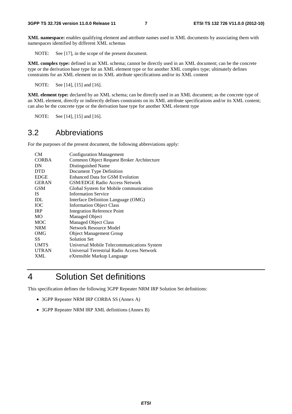**XML namespace:** enables qualifying element and attribute names used in XML documents by associating them with namespaces identified by different XML schemas

NOTE: See [17], in the scope of the present document.

**XML complex type:** defined in an XML schema; cannot be directly used in an XML document; can be the concrete type or the derivation base type for an XML element type or for another XML complex type; ultimately defines constraints for an XML element on its XML attribute specifications and/or its XML content

NOTE: See [14], [15] and [16].

**XML element type:** declared by an XML schema; can be directly used in an XML document; as the concrete type of an XML element, directly or indirectly defines constraints on its XML attribute specifications and/or its XML content; can also be the concrete type or the derivation base type for another XML element type

NOTE: See [14], [15] and [16].

#### 3.2 Abbreviations

For the purposes of the present document, the following abbreviations apply:

| CМ           | <b>Configuration Management</b>            |
|--------------|--------------------------------------------|
| <b>CORBA</b> | Common Object Request Broker Architecture  |
| DN           | Distinguished Name                         |
| <b>DTD</b>   | Document Type Definition                   |
| <b>EDGE</b>  | Enhanced Data for GSM Evolution            |
| <b>GERAN</b> | <b>GSM/EDGE Radio Access Network</b>       |
| GSM          | Global System for Mobile communication     |
| <b>IS</b>    | <b>Information Service</b>                 |
| <b>IDL</b>   | Interface Definition Language (OMG)        |
| <b>TOC</b>   | <b>Information Object Class</b>            |
| <b>IRP</b>   | <b>Integration Reference Point</b>         |
| <b>MO</b>    | <b>Managed Object</b>                      |
| <b>MOC</b>   | <b>Managed Object Class</b>                |
| <b>NRM</b>   | <b>Network Resource Model</b>              |
| OMG          | <b>Object Management Group</b>             |
| SS           | <b>Solution Set</b>                        |
| <b>UMTS</b>  | Universal Mobile Telecommunications System |
| <b>UTRAN</b> | Universal Terrestrial Radio Access Network |
| <b>XML</b>   | eXtensible Markup Language                 |
|              |                                            |

### 4 Solution Set definitions

This specification defines the following 3GPP Repeater NRM IRP Solution Set definitions:

- 3GPP Repeater NRM IRP CORBA SS (Annex A)
- 3GPP Repeater NRM IRP XML definitions (Annex B)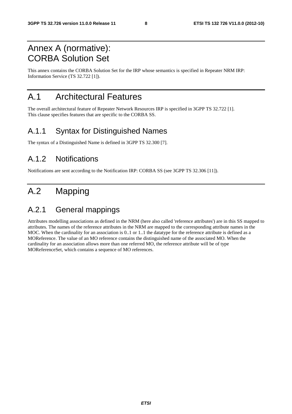# Annex A (normative): CORBA Solution Set

This annex contains the CORBA Solution Set for the IRP whose semantics is specified in Repeater NRM IRP: Information Service (TS 32.722 [1]).

## A.1 Architectural Features

The overall architectural feature of Repeater Network Resources IRP is specified in 3GPP TS 32.722 [1]. This clause specifies features that are specific to the CORBA SS.

#### A.1.1 Syntax for Distinguished Names

The syntax of a Distinguished Name is defined in 3GPP TS 32.300 [7].

#### A.1.2 Notifications

Notifications are sent according to the Notification IRP: CORBA SS (see 3GPP TS 32.306 [11]).

# A.2 Mapping

#### A.2.1 General mappings

Attributes modelling associations as defined in the NRM (here also called 'reference attributes') are in this SS mapped to attributes. The names of the reference attributes in the NRM are mapped to the corresponding attribute names in the MOC. When the cardinality for an association is 0..1 or 1..1 the datatype for the reference attribute is defined as a MOReference. The value of an MO reference contains the distinguished name of the associated MO. When the cardinality for an association allows more than one referred MO, the reference attribute will be of type MOReferenceSet, which contains a sequence of MO references.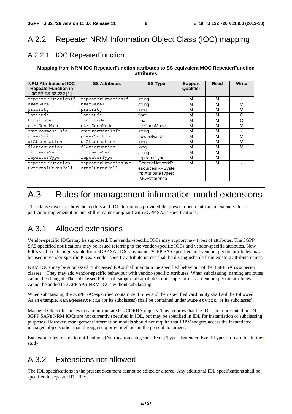# A.2.2 Repeater NRM Information Object Class (IOC) mapping

#### A.2.2.1 IOC RepeaterFunction

#### **Mapping from NRM IOC RepeaterFunction attributes to SS equivalent MOC RepeaterFunction attributes**

| <b>NRM Attributes of IOC</b><br><b>RepeaterFunction in</b><br>3GPP TS 32.722 [1] | <b>SS Attributes</b>                  | <b>SS Type</b>                                                            | <b>Support</b><br>Qualifier | Read | Write |
|----------------------------------------------------------------------------------|---------------------------------------|---------------------------------------------------------------------------|-----------------------------|------|-------|
| repeaterFunctionId                                                               | repeaterFunctionId                    | strina                                                                    | М                           | М    |       |
| userLabel                                                                        | userLabel                             | string                                                                    | м                           | м    | м     |
| priority                                                                         | priority                              | long                                                                      | м                           | М    | M     |
| latitude                                                                         | latitude                              | float                                                                     | м                           | М    | O     |
| Longitude                                                                        | longitude                             | float                                                                     | М                           | М    | O     |
| ctrlConnMode                                                                     | ctrlConnMode                          | ctrlConnMode                                                              | М                           | М    | M     |
| environmentInfo                                                                  | environmentInfo                       | string                                                                    | м                           | м    |       |
| powerSwitch                                                                      | powerSwitch                           | powerSwitch                                                               | м                           | М    | М     |
| ulAttenuation                                                                    | ulAttenuation                         | long                                                                      | м                           | М    | М     |
| dlAttenuation                                                                    | dlAttenuation                         | long                                                                      | М                           | М    | M     |
| firmwareVer                                                                      | firmwareVer                           | string                                                                    | М                           | М    |       |
| repeaterType                                                                     | repeaterType                          | repeaterType                                                              | M                           | М    |       |
| repeaterFunction-<br>ExternalUtranCell                                           | repeaterFunctionExt<br>ernalUtranCell | GenericNetworkR<br>esourcesIRPSyste<br>m::AttributeTypes:<br>:MOReference | м                           | М    |       |

# A.3 Rules for management information model extensions

This clause discusses how the models and IDL definitions provided the present document can be extended for a particular implementation and still remains compliant with 3GPP SA5's specifications.

### A.3.1 Allowed extensions

Vendor-specific IOCs may be supported. The vendor-specific IOCs may support new types of attributes. The 3GPP SA5-specified notifications may be issued referring to the vendor-specific IOCs and vendor-specific attributes. New IOCs shall be distinguishable from 3GPP SA5 IOCs by name. 3GPP SA5-specified and vendor-specific attributes may be used in vendor-specific IOCs. Vendor-specific attribute names shall be distinguishable from existing attribute names.

NRM IOCs may be subclassed. Subclassed IOCs shall maintain the specified behaviour of the 3GPP SA5's superior classes. They may add vendor-specific behaviour with vendor-specific attributes. When subclassing, naming attributes cannot be changed. The subclassed IOC shall support all attributes of its superior class. Vendor-specific attributes cannot be added to 3GPP SA5 NRM IOCs without subclassing.

When subclassing, the 3GPP SA5-specified containment rules and their specified cardinality shall still be followed. As an example, ManagementNode (or its subclasses) shall be contained under SubNetwork (or its subclasses).

Managed Object Instances may be instantiated as CORBA objects. This requires that the IOCs be represented in IDL. 3GPP SA5's NRM IOCs are not currently specified in IDL, but may be specified in IDL for instantiation or subclassing purposes. However, management information models should not require that IRPManagers access the instantiated managed objects other than through supported methods in the present document.

Extension rules related to notifications (Notification categories, Event Types, Extended Event Types etc.) are for further study.

### A.3.2 Extensions not allowed

The IDL specifications in the present document cannot be edited or altered. Any additional IDL specifications shall be specified in separate IDL files.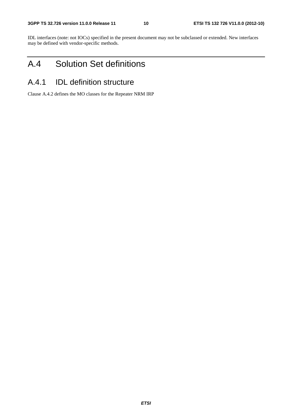IDL interfaces (note: not IOCs) specified in the present document may not be subclassed or extended. New interfaces may be defined with vendor-specific methods.

# A.4 Solution Set definitions

#### A.4.1 IDL definition structure

Clause A.4.2 defines the MO classes for the Repeater NRM IRP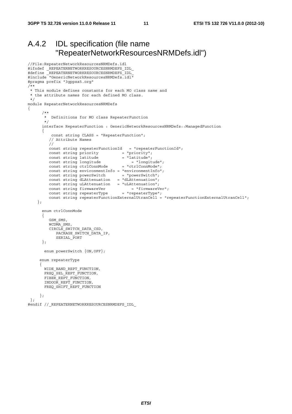#### A.4.2 IDL specification (file name "RepeaterNetworkResourcesNRMDefs.idl")

```
//File:RepeaterNetworkResourcesNRMDefs.idl 
#ifndef _REPEATERNETWORKRESOURCESNRMDEFS_IDL_ 
#define REPEATERNETWORKRESOURCESNRMDEFS IDL
#include "GenericNetworkResourcesNRMDefs.idl" 
#pragma prefix "3gppsa5.org" 
/** 
 * This module defines constants for each MO class name and 
 * the attribute names for each defined MO class. 
 */ 
module RepeaterNetworkResourcesNRMDefs 
{ 
 /** 
        * Definitions for MO class RepeaterFunction 
       */ 
       interface RepeaterFunction : GenericNetworkResourcesNRMDefs::ManagedFunction 
\{ const string CLASS = "RepeaterFunction"; 
         // Attribute Names 
         // 
         const string repeaterFunctionId = "repeaterFunctionId"; 
        const string priority = "priority";
const string latitude = "latitude";
 const string longitude = "longitude"; 
 const string ctrlConnMode = "ctrlConnMode"; 
        const string environmentInfo = "environmentInfo";
const string powerSwitch = "powerSwitch";
 const string dLAttenuation = "dLAttenuation"; 
 const string uLAttenuation = "uLAttenuation"; 
const string firmwareVer = "firmwareVer";
const string repeaterType  = "repeaterType";
         const string repeaterFunctionExternalUtranCell = "repeaterFunctionExternalUtranCell"; 
     }; 
       enum ctrlConnMode 
       { 
         GSM_SMS, 
         WCDMA_SMS, 
         CIRCLE_SWITCH_DATA_CSD, 
          PACKAGE_SWITCH_DATA_IP,
           SERIAL PORT
       }; 
       enum powerSwitch {ON,OFF}; 
      enum repeaterType 
\left\{\begin{array}{ccc} \end{array}\right\}WIDE_BAND_REPT_FUNCTION,
      FREQSEL REPTFUNCTION,
      FIBER REPT FUNCTION,
       INDOOR_REPT_FUNCTION, 
       FREQ_SHIFT_REPT_FUNCTION 
     }; 
  };
```
#endif //\_REPEATERNETWORKRESOURCESNRMDEFS\_IDL\_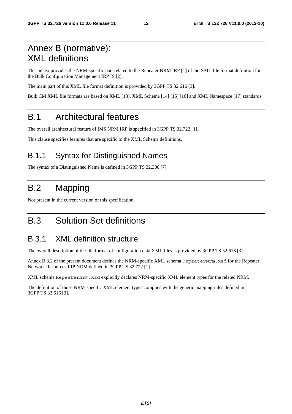# Annex B (normative): XML definitions

This annex provides the NRM-specific part related to the Repeater NRM IRP [1] of the XML file format definition for the Bulk Configuration Management IRP IS [2].

The main part of this XML file format definition is provided by 3GPP TS 32.616 [3].

Bulk CM XML file formats are based on XML [13], XML Schema [14] [15] [16] and XML Namespace [17] standards.

# B.1 Architectural features

The overall architectural feature of IMS NRM IRP is specified in 3GPP TS 32.722 [1].

This clause specifies features that are specific to the XML Schema definitions.

### B.1.1 Syntax for Distinguished Names

The syntax of a Distinguished Name is defined in 3GPP TS 32.300 [7].

# B.2 Mapping

Not present in the current version of this specification.

# B.3 Solution Set definitions

### B.3.1 XML definition structure

The overall description of the file format of configuration data XML files is provided by 3GPP TS 32.616 [3].

Annex B.3.2 of the present document defines the NRM-specific XML schema RepeaterNrm.xsd for the Repeater Network Resources IRP NRM defined in 3GPP TS 32.722 [1].

XML schema RepeaterNrm.xsd explicitly declares NRM-specific XML element types for the related NRM.

The definition of those NRM-specific XML element types complies with the generic mapping rules defined in 3GPP TS 32.616 [3].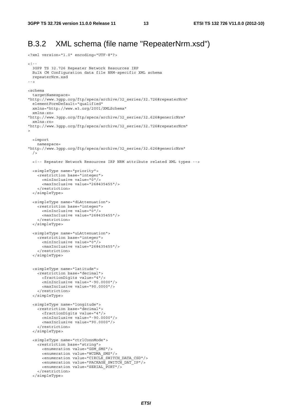<?xml version="1.0" encoding="UTF-8"?>

### B.3.2 XML schema (file name "RepeaterNrm.xsd")

```
>1- 3GPP TS 32.726 Repeater Network Resources IRP 
  Bulk CM Configuration data file NRM-specific XML schema 
  repeaterNrm.xsd 
--> 
<schema 
   targetNamespace= 
"http://www.3gpp.org/ftp/specs/archive/32_series/32.726#repeaterNrm" 
  elementFormDefault="qualified" 
  xmlns="http://www.w3.org/2001/XMLSchema" 
   xmlns:xn= 
"http://www.3gpp.org/ftp/specs/archive/32_series/32.626#genericNrm" 
  xmlns:rn= 
"http://www.3gpp.org/ftp/specs/archive/32_series/32.726#repeaterNrm" 
> 
   <import 
    namespace= 
"http://www.3gpp.org/ftp/specs/archive/32_series/32.626#genericNrm" 
 / <!-- Repeater Network Resources IRP NRM attribute related XML types --> 
   <simpleType name="priority"> 
    <restriction base="integer"> 
      <minInclusive value="0"/> 
       <maxInclusive value="268435455"/> 
     </restriction> 
   </simpleType> 
   <simpleType name="dLAttenuation"> 
     <restriction base="integer"> 
       <minInclusive value="0"/> 
       <maxInclusive value="268435455"/> 
     </restriction> 
   </simpleType> 
   <simpleType name="uLAttenuation"> 
     <restriction base="integer"> 
       <minInclusive value="0"/> 
       <maxInclusive value="268435455"/> 
     </restriction> 
   </simpleType> 
   <simpleType name="latitude"> 
     <restriction base="decimal"> 
      <fractionDigits value="4"/> 
       <minInclusive value="-90.0000"/> 
       <maxInclusive value="90.0000"/> 
     </restriction> 
   </simpleType> 
   <simpleType name="longitude"> 
     <restriction base="decimal"> 
      <fractionDigits value="4"/> 
       <minInclusive value="-90.0000"/> 
       <maxInclusive value="90.0000"/> 
     </restriction> 
   </simpleType> 
   <simpleType name="ctrlConnMode"> 
     <restriction base="string"> 
       <enumeration value="GSM_SMS"/> 
       <enumeration value="WCDMA_SMS"/> 
       <enumeration value="CIRCLE_SWITCH_DATA_CSD"/> 
       <enumeration value="PACKAGE_SWITCH_DAT_IP"/> 
       <enumeration value="SERIAL_PORT"/> 
     </restriction> 
   </simpleType>
```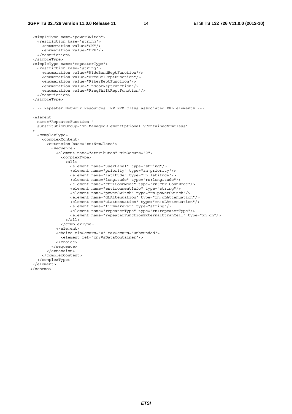```
 <simpleType name="powerSwitch"> 
    <restriction base="string"> 
      <enumeration value="ON"/> 
      <enumeration value="OFF"/> 
    </restriction> 
  </simpleType> 
  <simpleType name="repeaterType"> 
    <restriction base="string"> 
      <enumeration value="WideBandReptFunction"/> 
      <enumeration value="FreqSelReptFunction"/> 
      <enumeration value="FiberReptFunction"/> 
      <enumeration value="IndoorReptFunction"/> 
      <enumeration value="FreqShiftReptFunction"/> 
    </restriction> 
  </simpleType> 
 <!-- Repeater Network Resources IRP NRM class associated XML elements --> 
 <element 
   name="RepeaterFunction " 
   substitutionGroup="xn:ManagedElementOptionallyContainedNrmClass" 
\rightarrow <complexType> 
      <complexContent> 
        <extension base="xn:NrmClass"> 
          <sequence> 
            <element name="attributes" minOccurs="0"> 
               <complexType> 
                \alpha<sup>11></sup>
                   <element name="userLabel" type="string"/> 
                   <element name="priority" type="rn:priority"/> 
                   <element name="latitude" type="rn:latitude"/> 
                   <element name="longitude" type="rn:longitude"/> 
                   <element name="ctrlConnMode" type="rn:ctrlConnMode"/> 
                   <element name="environmentInfo" type="string"/> 
                   <element name="powerSwitch" type="rn:powerSwitch"/> 
                   <element name="dLAttenuation" type="rn:dLAttenuation"/> 
                   <element name="uLattenuation" type="rn:uLAttenuation"/> 
                   <element name="firmwareVer" type="string"/> 
                   <element name="repeaterType" type="rn:repeaterType"/> 
                   <element name="repeaterFunctionExternalUtranCell" type="xn:dn"/> 
                 </all> 
               </complexType> 
             </element> 
             <choice minOccurs="0" maxOccurs="unbounded"> 
               <element ref="xn:VsDataContainer"/> 
            </choice> 
          </sequence> 
        </extension> 
      </complexContent> 
    </complexType> 
\epsilon/element>
 </schema>
```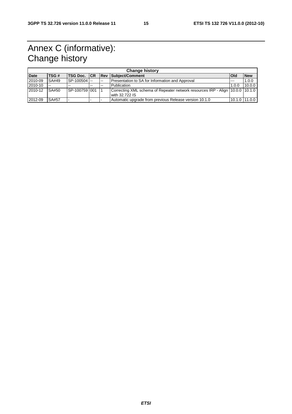# Annex C (informative): Change history

| <b>Change history</b> |              |                     |       |                |                                                                                                 |            |               |
|-----------------------|--------------|---------------------|-------|----------------|-------------------------------------------------------------------------------------------------|------------|---------------|
| <b>Date</b>           | TSG#         | <b>TSG Doc. ICR</b> |       | $\mathsf{Rev}$ | Subject/Comment                                                                                 | <b>Old</b> | <b>New</b>    |
| 2010-09               | SA#49        | SP-100504           |       | $\sim$         | Presentation to SA for Information and Approval                                                 | $- - -$    | 1.0.0         |
| 2010-10               | $-$          | $- -$               | $- -$ | $- -$          | <b>Publication</b>                                                                              | 1.0.0      | 10.0.0        |
| 2010-12               | SA#50        | SP-100759 001       |       |                | Correcting XML schema of Repeater network resources IRP - Align 10.0.0 10.1.0<br>with 32.722 IS |            |               |
| 2012-09               | <b>SA#57</b> |                     |       |                | Automatic upgrade from previous Release version 10.1.0                                          |            | 10.1.0 11.0.0 |